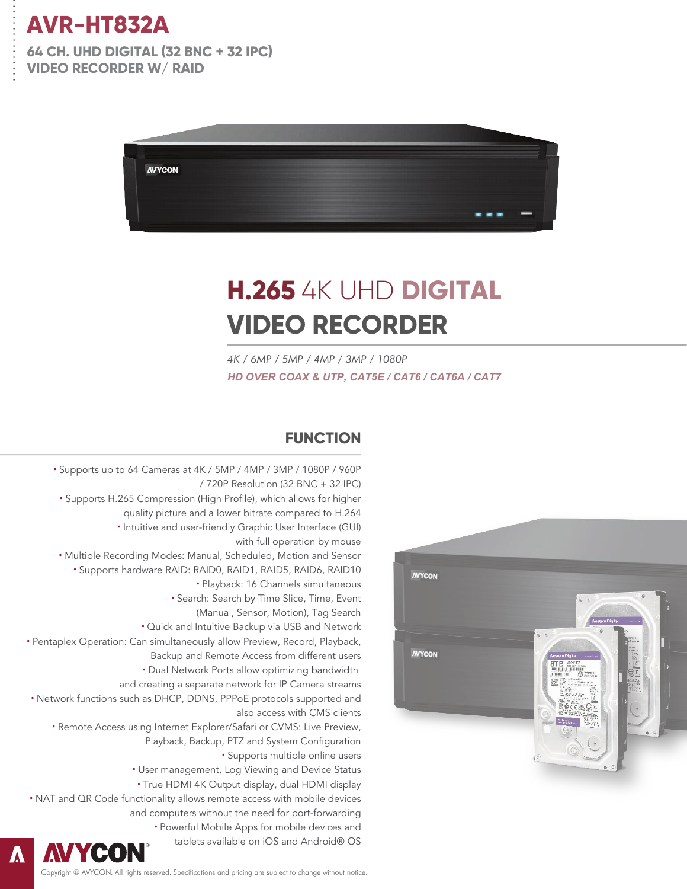. . . . . . . . . . . . . . .

**64 CH. UHD DIGITAL (32 BNC + 32 IPC) VIDEO RECORDER W/ RAID**



# **H.265** 4K UHD **DIGITAL VIDEO RECORDER**

*4K / 6MP / 5MP / 4MP / 3MP / 1080P HD OVER COAX & UTP, CAT5E / CAT6 / CAT6A / CAT7*

#### **FUNCTION**

**·** Supports up to 64 Cameras at 4K / 5MP / 4MP / 3MP / 1080P / 960P / 720P Resolution (32 BNC + 32 IPC) **·** Supports H.265 Compression (High Profile), which allows for higher quality picture and a lower bitrate compared to H.264 **·** Intuitive and user-friendly Graphic User Interface (GUI) with full operation by mouse **·** Multiple Recording Modes: Manual, Scheduled, Motion and Sensor **·** Supports hardware RAID: RAID0, RAID1, RAID5, RAID6, RAID10 **·** Playback: 16 Channels simultaneous **·** Search: Search by Time Slice, Time, Event (Manual, Sensor, Motion), Tag Search **·** Quick and Intuitive Backup via USB and Network **·** Pentaplex Operation: Can simultaneously allow Preview, Record, Playback, Backup and Remote Access from different users **·** Dual Network Ports allow optimizing bandwidth and creating a separate network for IP Camera streams **·** Network functions such as DHCP, DDNS, PPPoE protocols supported and also access with CMS clients **·** Remote Access using Internet Explorer/Safari or CVMS: Live Preview, Playback, Backup, PTZ and System Configuration **·** Supports multiple online users **·** User management, Log Viewing and Device Status **·** True HDMI 4K Output display, dual HDMI display **·** NAT and QR Code functionality allows remote access with mobile devices and computers without the need for port-forwarding **·** Powerful Mobile Apps for mobile devices and tablets available on iOS and Android® OS